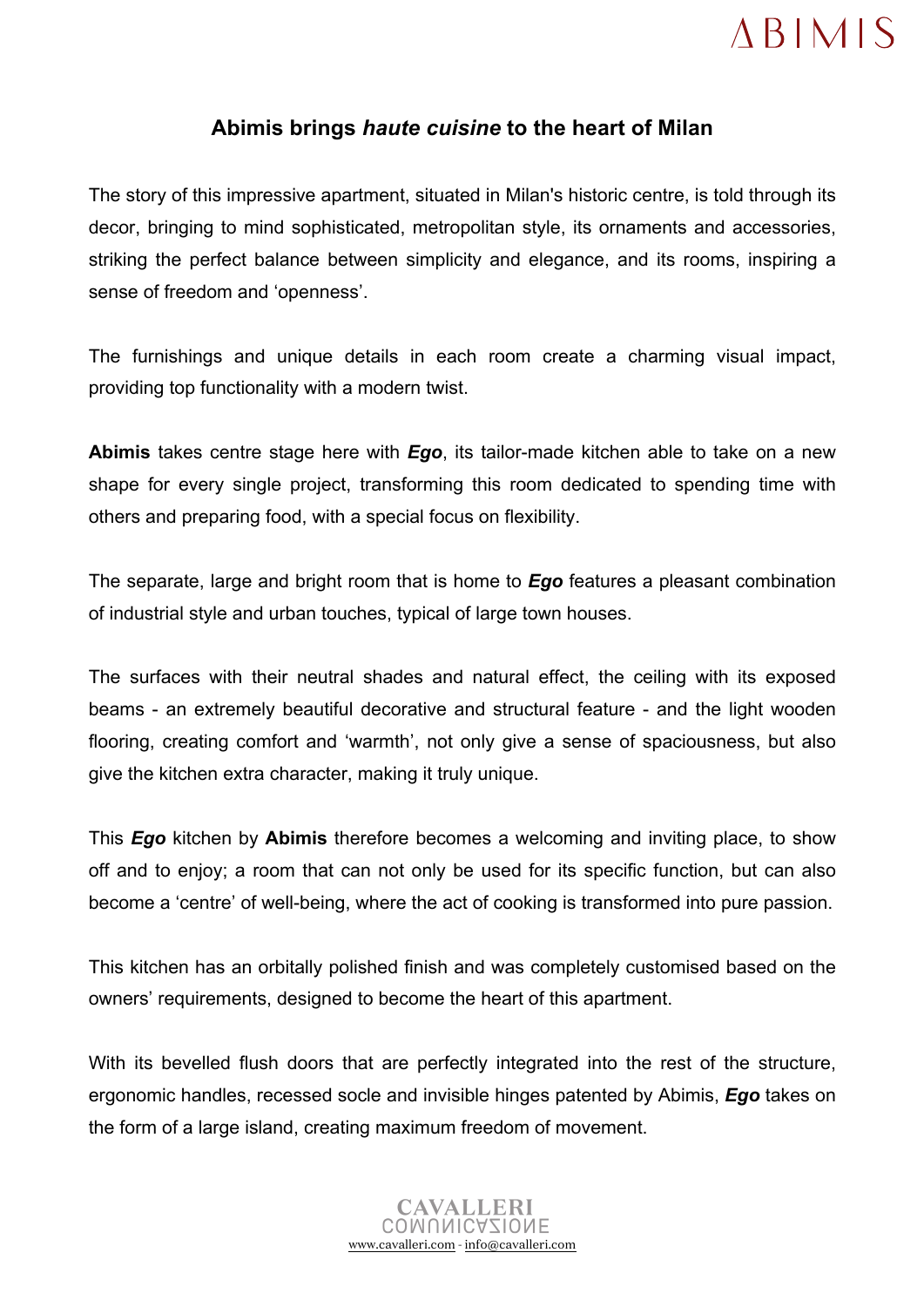## **ABIMIS**

## **Abimis brings** *haute cuisine* **to the heart of Milan**

The story of this impressive apartment, situated in Milan's historic centre, is told through its decor, bringing to mind sophisticated, metropolitan style, its ornaments and accessories, striking the perfect balance between simplicity and elegance, and its rooms, inspiring a sense of freedom and 'openness'.

The furnishings and unique details in each room create a charming visual impact, providing top functionality with a modern twist.

**Abimis** takes centre stage here with *Ego*, its tailor-made kitchen able to take on a new shape for every single project, transforming this room dedicated to spending time with others and preparing food, with a special focus on flexibility.

The separate, large and bright room that is home to *Ego* features a pleasant combination of industrial style and urban touches, typical of large town houses.

The surfaces with their neutral shades and natural effect, the ceiling with its exposed beams - an extremely beautiful decorative and structural feature - and the light wooden flooring, creating comfort and 'warmth', not only give a sense of spaciousness, but also give the kitchen extra character, making it truly unique.

This *Ego* kitchen by **Abimis** therefore becomes a welcoming and inviting place, to show off and to enjoy; a room that can not only be used for its specific function, but can also become a 'centre' of well-being, where the act of cooking is transformed into pure passion.

This kitchen has an orbitally polished finish and was completely customised based on the owners' requirements, designed to become the heart of this apartment.

With its bevelled flush doors that are perfectly integrated into the rest of the structure, ergonomic handles, recessed socle and invisible hinges patented by Abimis, *Ego* takes on the form of a large island, creating maximum freedom of movement.